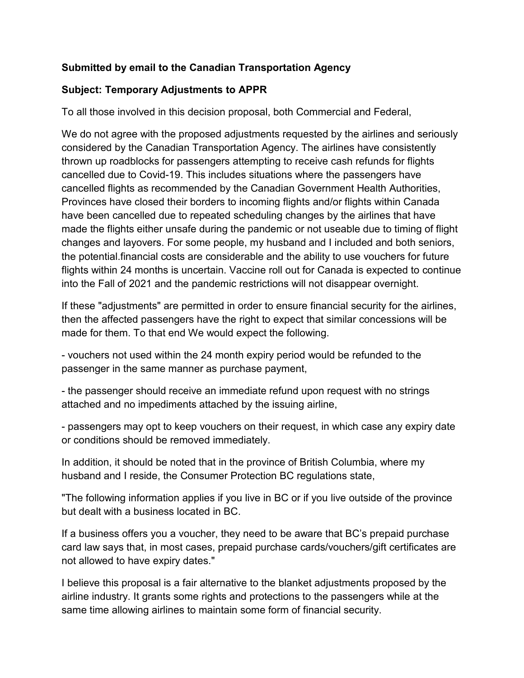## **Submitted by email to the Canadian Transportation Agency**

## **Subject: Temporary Adjustments to APPR**

To all those involved in this decision proposal, both Commercial and Federal,

We do not agree with the proposed adjustments requested by the airlines and seriously considered by the Canadian Transportation Agency. The airlines have consistently thrown up roadblocks for passengers attempting to receive cash refunds for flights cancelled due to Covid-19. This includes situations where the passengers have cancelled flights as recommended by the Canadian Government Health Authorities, Provinces have closed their borders to incoming flights and/or flights within Canada have been cancelled due to repeated scheduling changes by the airlines that have made the flights either unsafe during the pandemic or not useable due to timing of flight changes and layovers. For some people, my husband and I included and both seniors, the potential.financial costs are considerable and the ability to use vouchers for future flights within 24 months is uncertain. Vaccine roll out for Canada is expected to continue into the Fall of 2021 and the pandemic restrictions will not disappear overnight.

If these "adjustments" are permitted in order to ensure financial security for the airlines, then the affected passengers have the right to expect that similar concessions will be made for them. To that end We would expect the following.

- vouchers not used within the 24 month expiry period would be refunded to the passenger in the same manner as purchase payment,

- the passenger should receive an immediate refund upon request with no strings attached and no impediments attached by the issuing airline,

- passengers may opt to keep vouchers on their request, in which case any expiry date or conditions should be removed immediately.

In addition, it should be noted that in the province of British Columbia, where my husband and I reside, the Consumer Protection BC regulations state,

"The following information applies if you live in BC or if you live outside of the province but dealt with a business located in BC.

If a business offers you a voucher, they need to be aware that BC's prepaid purchase card law says that, in most cases, prepaid purchase cards/vouchers/gift certificates are not allowed to have expiry dates."

I believe this proposal is a fair alternative to the blanket adjustments proposed by the airline industry. It grants some rights and protections to the passengers while at the same time allowing airlines to maintain some form of financial security.